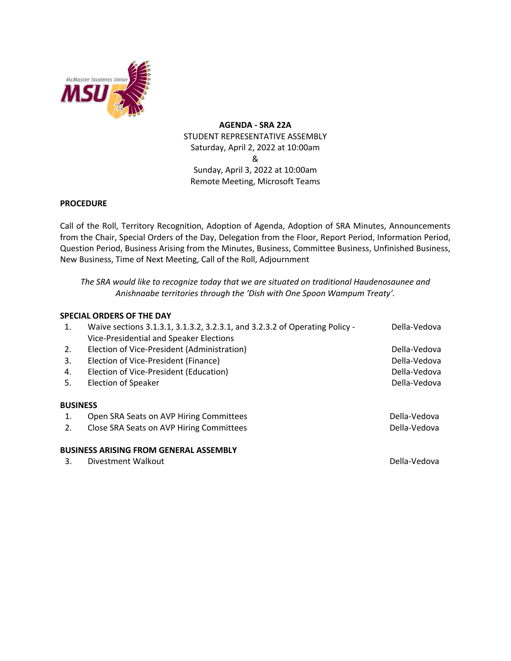

**AGENDA - SRA 22A** STUDENT REPRESENTATIVE ASSEMBLY Saturday, April 2, 2022 at 10:00am & Sunday, April 3, 2022 at 10:00am Remote Meeting, Microsoft Teams

## **PROCEDURE**

Call of the Roll, Territory Recognition, Adoption of Agenda, Adoption of SRA Minutes, Announcements from the Chair, Special Orders of the Day, Delegation from the Floor, Report Period, Information Period, Question Period, Business Arising from the Minutes, Business, Committee Business, Unfinished Business, New Business, Time of Next Meeting, Call of the Roll, Adjournment

*The SRA would like to recognize today that we are situated on traditional Haudenosaunee and Anishnaabe territories through the 'Dish with One Spoon Wampum Treaty'.*

## **SPECIAL ORDERS OF THE DAY**

| 1.              | Waive sections 3.1.3.1, 3.1.3.2, 3.2.3.1, and 3.2.3.2 of Operating Policy - | Della-Vedova |
|-----------------|-----------------------------------------------------------------------------|--------------|
|                 | Vice-Presidential and Speaker Elections                                     |              |
| 2.              | Election of Vice-President (Administration)                                 | Della-Vedova |
| 3.              | Election of Vice-President (Finance)                                        | Della-Vedova |
| 4.              | Election of Vice-President (Education)                                      | Della-Vedova |
| 5.              | Election of Speaker                                                         | Della-Vedova |
| <b>BUSINESS</b> |                                                                             |              |
| 1.              | Open SRA Seats on AVP Hiring Committees                                     | Della-Vedova |
| 2.              | Close SRA Seats on AVP Hiring Committees                                    | Della-Vedova |
|                 | <b>BUSINESS ARISING FROM GENERAL ASSEMBLY</b>                               |              |
| 3.              | Divestment Walkout                                                          | Della-Vedova |